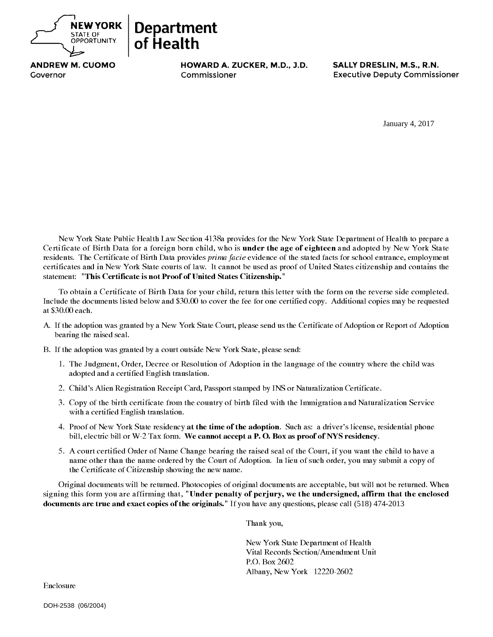

**ANDREW M. CUOMO** 

ABCDEFGHIJKLMNOPQR

Antonia Commissioner M.D., Executive Deputy Commissioner ABCDEFGHIJI (1999)

New York State Public Health Law Section 4138a provides for the New York State Department of Health to prepare a<br>Certificate of Birth Data for a foreign born child, who is **under the age of eighteen** and adopted by New Yor residents. The Certificate of Birth Data provides *prima facie* evidence of the stated facts for school entrance, employment certificates and in New York State courts of law. It cannot be used as proof of United States citizenship and contains the statement: "This Certificate is not Proof of United States Citizenship." January 4, 2017<br>
rtment of Health to prepadopted by New York S<br>
chool entrance, employ<br>
citizenship and contain<br>
the reverse side complo<br>
the reverse side complo<br>
option or Report of Ado<br>
option or Report of Ado<br>
thy where

To obtain a Certificate of Birth Data for your child, return this letter with the form on the reverse side completed.<br>Include the documents listed below and \$30.00 to cover the fee for one certified copy. Additional copies

- A. If the adoption was granted by a New York State Court, please send us the Certificate of Adoption or Report of Adoption bearing the raised seal.
- B. If the adoption was granted by a court outside New York State, please send:

of Health

- 1. The Judgment, Order, Decree or Resolution of Adoption in the language of the country where the child was adopted and a certified English translation.
- 2. Child's Alien Registration Receipt Card, Passport stamped by INS or Naturalization Certificate.
- 3. Copy of the birth certificate from the country of birth filed with the Immigration and Naturalization Service with a certified English translation.
- 4. Proof of New York State residency at the time of the adoption. Such as: a driver's license, residential phone bill, electric bill or W-2 Tax form. We cannot accept a P. O. Box as proof of NYS residency.
- 5. A court certified Order of Name Change bearing the raised seal of the Court, if you want the child to have a<br>name other than the name ordered by the Court of Adoption. In lieu of such order, you may submit a copy of<br>the

Original documents will be returned. Photocopies of original documents are acceptable, but will not be returned. When signing this form you are affirming that, "Under penalty of perjury, we the undersigned, affirm that the

Thank you,

New York State Department of Health Vital Records Section/Amendment Unit P.O. Box 2602 Albany, New York 12220-2602

Enclosure